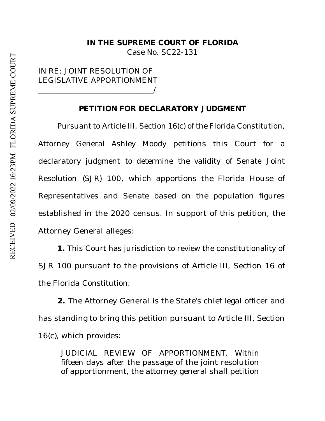Case No. SC22-131

## IN RE: JOINT RESOLUTION OF LEGISLATIVE APPORTIONMENT \_\_\_\_\_\_\_\_\_\_\_\_\_\_\_\_\_\_\_\_\_\_\_\_\_\_\_\_\_\_\_/

## **PETITION FOR DECLARATORY JUDGMENT**

Pursuant to Article III, Section 16(c) of the Florida Constitution, Attorney General Ashley Moody petitions this Court for a declaratory judgment to determine the validity of Senate Joint Resolution (SJR) 100, which apportions the Florida House of Representatives and Senate based on the population figures established in the 2020 census. In support of this petition, the Attorney General alleges:

**1.** This Court has jurisdiction to review the constitutionality of SJR 100 pursuant to the provisions of Article III, Section 16 of the Florida Constitution.

**2.** The Attorney General is the State's chief legal officer and has standing to bring this petition pursuant to Article III, Section 16(c), which provides:

JUDICIAL REVIEW OF APPORTIONMENT. Within fifteen days after the passage of the joint resolution of apportionment, the attorney general shall petition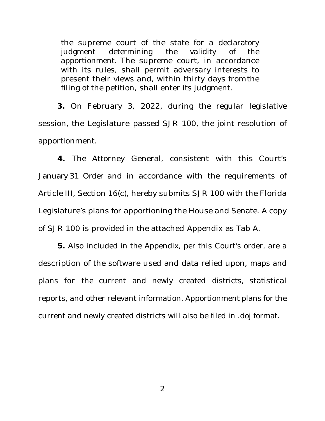the supreme court of the state for a declaratory judgment determining the validity of the apportionment. The supreme court, in accordance with its rules, shall permit adversary interests to present their views and, within thirty days from the filing of the petition, shall enter its judgment.

**3.** On February 3, 2022, during the regular legislative session, the Legislature passed SJR 100, the joint resolution of apportionment.

**4.** The Attorney General, consistent with this Court's January 31 Order and in accordance with the requirements of Article III, Section 16(c), hereby submits SJR 100 with the Florida Legislature's plans for apportioning the House and Senate. A copy of SJR 100 is provided in the attached Appendix as Tab A.

**5.** Also included in the Appendix, per this Court's order, are a description of the software used and data relied upon, maps and plans for the current and newly created districts, statistical reports, and other relevant information. Apportionment plans for the current and newly created districts will also be filed in .doj format.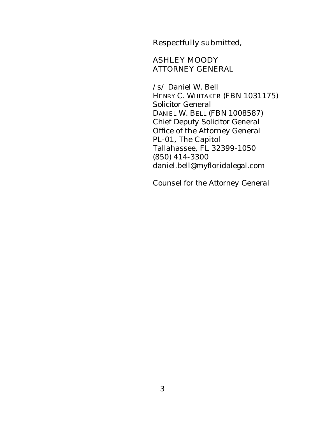Respectfully submitted,

## ASHLEY MOODY ATTORNEY GENERAL

 /s/ *Daniel W. Bell*  HENRY C. WHITAKER (FBN 1031175) *Solicitor General* DANIEL W. BELL (FBN 1008587) *Chief Deputy Solicitor General*  Office of the Attorney General PL-01, The Capitol Tallahassee, FL 32399-1050 (850) 414-3300 daniel.bell@myfloridalegal.com

*Counsel for the Attorney General*